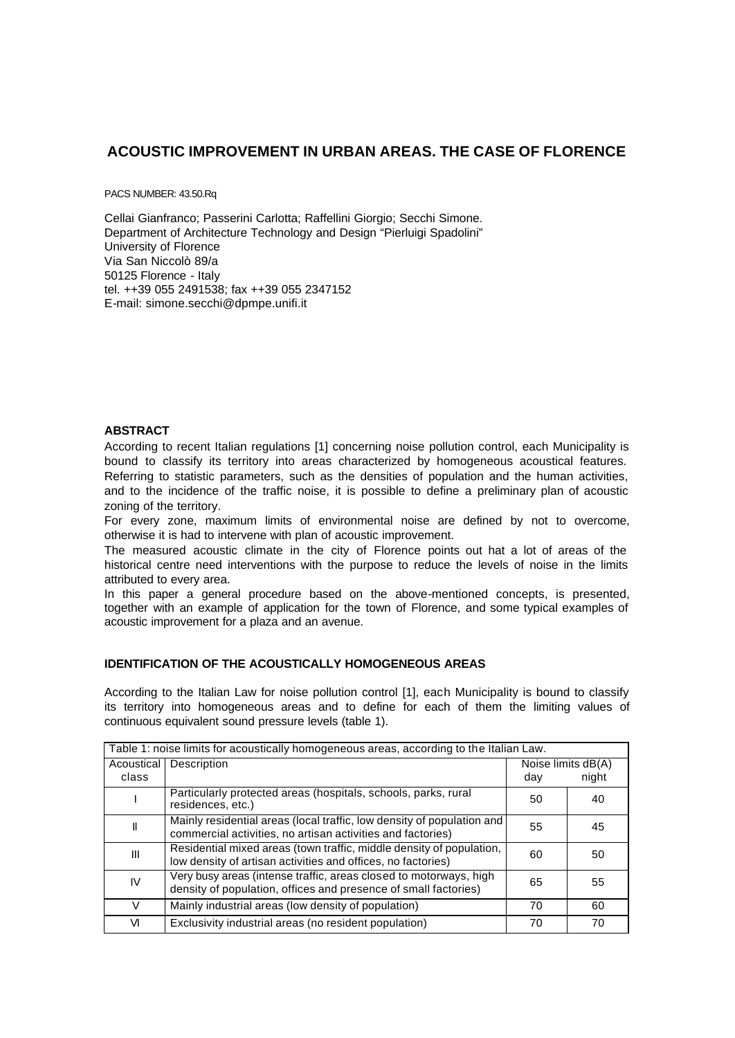# **ACOUSTIC IMPROVEMENT IN URBAN AREAS. THE CASE OF FLORENCE**

PACS NUMBER: 43.50.Rq

Cellai Gianfranco; Passerini Carlotta; Raffellini Giorgio; Secchi Simone. Department of Architecture Technology and Design "Pierluigi Spadolini" University of Florence Via San Niccolò 89/a 50125 Florence - Italy tel. ++39 055 2491538; fax ++39 055 2347152 E-mail: simone.secchi@dpmpe.unifi.it

# **ABSTRACT**

According to recent Italian regulations [1] concerning noise pollution control, each Municipality is bound to classify its territory into areas characterized by homogeneous acoustical features. Referring to statistic parameters, such as the densities of population and the human activities, and to the incidence of the traffic noise, it is possible to define a preliminary plan of acoustic zoning of the territory.

For every zone, maximum limits of environmental noise are defined by not to overcome, otherwise it is had to intervene with plan of acoustic improvement.

The measured acoustic climate in the city of Florence points out hat a lot of areas of the historical centre need interventions with the purpose to reduce the levels of noise in the limits attributed to every area.

In this paper a general procedure based on the above-mentioned concepts, is presented, together with an example of application for the town of Florence, and some typical examples of acoustic improvement for a plaza and an avenue.

### **IDENTIFICATION OF THE ACOUSTICALLY HOMOGENEOUS AREAS**

According to the Italian Law for noise pollution control [1], each Municipality is bound to classify its territory into homogeneous areas and to define for each of them the limiting values of continuous equivalent sound pressure levels (table 1).

| Table 1: noise limits for acoustically homogeneous areas, according to the Italian Law. |                                                                                                                                       |                    |       |  |  |  |  |  |
|-----------------------------------------------------------------------------------------|---------------------------------------------------------------------------------------------------------------------------------------|--------------------|-------|--|--|--|--|--|
| Acoustical                                                                              | <b>Description</b>                                                                                                                    | Noise limits dB(A) |       |  |  |  |  |  |
| class                                                                                   |                                                                                                                                       | day                | night |  |  |  |  |  |
|                                                                                         | Particularly protected areas (hospitals, schools, parks, rural<br>residences, etc.)                                                   | 50                 | 40    |  |  |  |  |  |
| II                                                                                      | Mainly residential areas (local traffic, low density of population and<br>commercial activities, no artisan activities and factories) | 55                 | 45    |  |  |  |  |  |
| III                                                                                     | Residential mixed areas (town traffic, middle density of population,<br>low density of artisan activities and offices, no factories)  | 60                 | 50    |  |  |  |  |  |
| IV                                                                                      | Very busy areas (intense traffic, areas closed to motorways, high<br>density of population, offices and presence of small factories)  | 65                 | 55    |  |  |  |  |  |
| V                                                                                       | Mainly industrial areas (low density of population)                                                                                   | 70                 | 60    |  |  |  |  |  |
| VI                                                                                      | Exclusivity industrial areas (no resident population)                                                                                 | 70                 | 70    |  |  |  |  |  |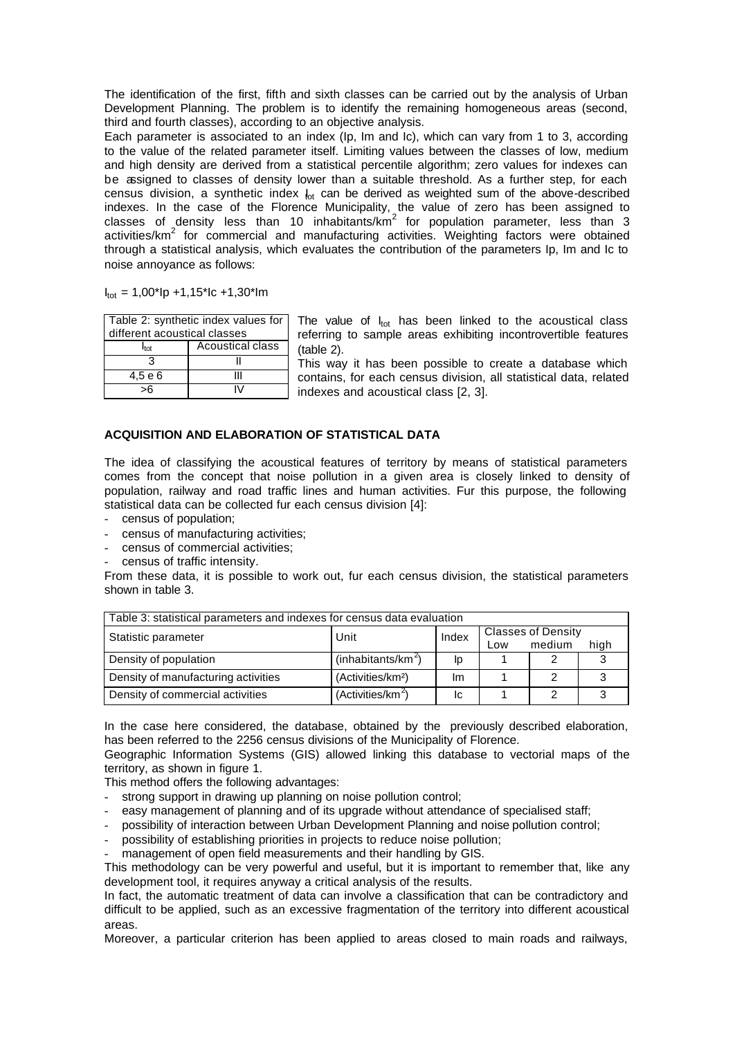The identification of the first, fifth and sixth classes can be carried out by the analysis of Urban Development Planning. The problem is to identify the remaining homogeneous areas (second, third and fourth classes), according to an objective analysis.

Each parameter is associated to an index (Ip, Im and Ic), which can vary from 1 to 3, according to the value of the related parameter itself. Limiting values between the classes of low, medium and high density are derived from a statistical percentile algorithm; zero values for indexes can be assigned to classes of density lower than a suitable threshold. As a further step, for each census division, a synthetic index  $I_{\text{ot}}$  can be derived as weighted sum of the above-described indexes. In the case of the Florence Municipality, the value of zero has been assigned to classes of density less than 10 inhabitants/km<sup>2</sup> for population parameter, less than 3 activities/ $km^2$  for commercial and manufacturing activities. Weighting factors were obtained through a statistical analysis, which evaluates the contribution of the parameters Ip, Im and Ic to noise annoyance as follows:

 $I_{\text{tot}} = 1,00^{\circ}$ Ip +1,15<sup>\*</sup>Ic +1,30<sup>\*</sup>Im

| Table 2: synthetic index values for |                         |  |  |  |  |  |
|-------------------------------------|-------------------------|--|--|--|--|--|
| different acoustical classes        |                         |  |  |  |  |  |
| <b>Itot</b>                         | <b>Acoustical class</b> |  |  |  |  |  |
|                                     |                         |  |  |  |  |  |
| 4,5 e 6                             |                         |  |  |  |  |  |
|                                     |                         |  |  |  |  |  |

The value of  $I_{tot}$  has been linked to the acoustical class referring to sample areas exhibiting incontrovertible features (table 2).

This way it has been possible to create a database which contains, for each census division, all statistical data, related indexes and acoustical class [2, 3].

# **ACQUISITION AND ELABORATION OF STATISTICAL DATA**

The idea of classifying the acoustical features of territory by means of statistical parameters comes from the concept that noise pollution in a given area is closely linked to density of population, railway and road traffic lines and human activities. Fur this purpose, the following statistical data can be collected fur each census division [4]:

- census of population;
- census of manufacturing activities;
- census of commercial activities;
- census of traffic intensity.

From these data, it is possible to work out, fur each census division, the statistical parameters shown in table 3.

| Table 3: statistical parameters and indexes for census data evaluation |                                |       |                           |        |      |  |  |  |
|------------------------------------------------------------------------|--------------------------------|-------|---------------------------|--------|------|--|--|--|
| Statistic parameter                                                    | Unit                           | Index | <b>Classes of Density</b> |        |      |  |  |  |
|                                                                        |                                |       | Low                       | medium | high |  |  |  |
| Density of population                                                  | (inhabitants/km <sup>2</sup> ) | Ip    |                           | າ      |      |  |  |  |
| Density of manufacturing activities                                    | (Activities/km <sup>2</sup> )  | Im    |                           | っ      |      |  |  |  |
| Density of commercial activities                                       | (Activities/km <sup>2</sup> )  | lс    |                           | ົ      |      |  |  |  |

In the case here considered, the database, obtained by the previously described elaboration, has been referred to the 2256 census divisions of the Municipality of Florence.

Geographic Information Systems (GIS) allowed linking this database to vectorial maps of the territory, as shown in figure 1.

This method offers the following advantages:

- strong support in drawing up planning on noise pollution control;
- easy management of planning and of its upgrade without attendance of specialised staff;
- possibility of interaction between Urban Development Planning and noise pollution control;
- possibility of establishing priorities in projects to reduce noise pollution;
- management of open field measurements and their handling by GIS.

This methodology can be very powerful and useful, but it is important to remember that, like any development tool, it requires anyway a critical analysis of the results.

In fact, the automatic treatment of data can involve a classification that can be contradictory and difficult to be applied, such as an excessive fragmentation of the territory into different acoustical areas.

Moreover, a particular criterion has been applied to areas closed to main roads and railways,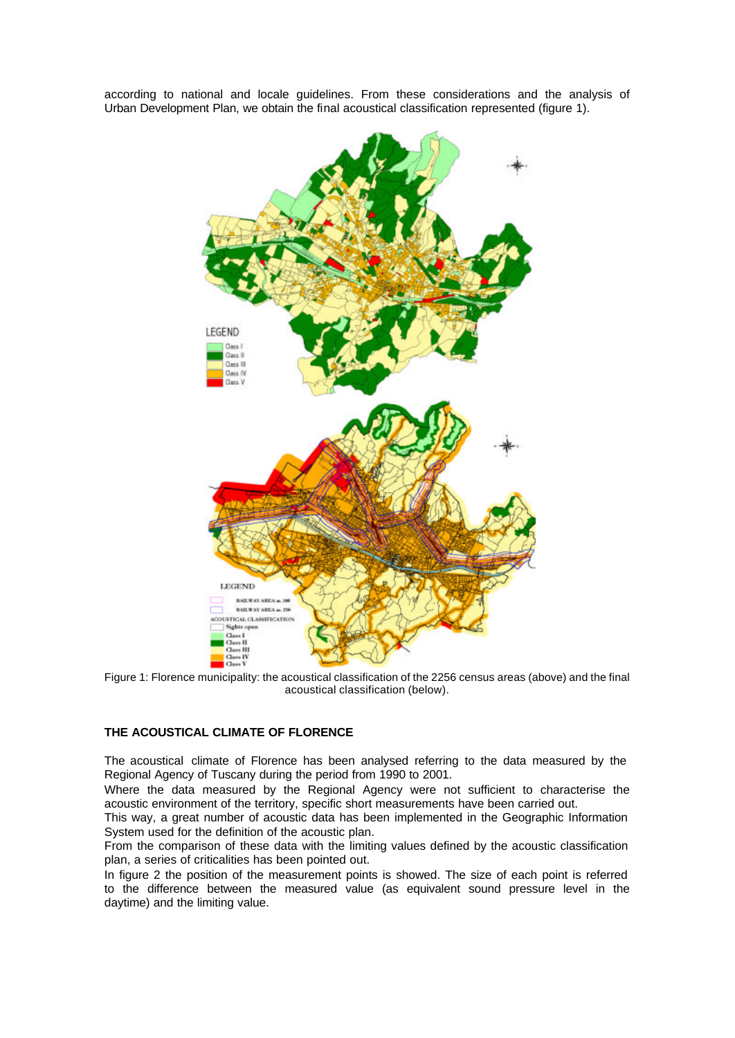according to national and locale guidelines. From these considerations and the analysis of Urban Development Plan, we obtain the final acoustical classification represented (figure 1).



Figure 1: Florence municipality: the acoustical classification of the 2256 census areas (above) and the final acoustical classification (below).

### **THE ACOUSTICAL CLIMATE OF FLORENCE**

The acoustical climate of Florence has been analysed referring to the data measured by the Regional Agency of Tuscany during the period from 1990 to 2001.

Where the data measured by the Regional Agency were not sufficient to characterise the acoustic environment of the territory, specific short measurements have been carried out.

This way, a great number of acoustic data has been implemented in the Geographic Information System used for the definition of the acoustic plan.

From the comparison of these data with the limiting values defined by the acoustic classification plan, a series of criticalities has been pointed out.

In figure 2 the position of the measurement points is showed. The size of each point is referred to the difference between the measured value (as equivalent sound pressure level in the daytime) and the limiting value.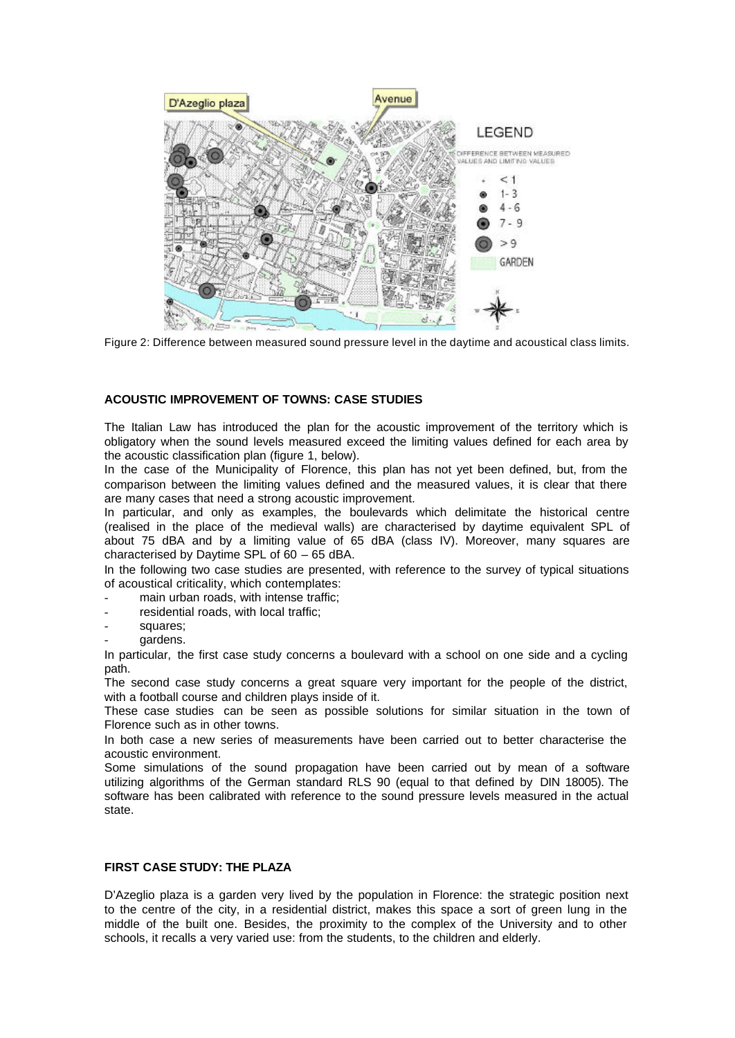

Figure 2: Difference between measured sound pressure level in the daytime and acoustical class limits.

# **ACOUSTIC IMPROVEMENT OF TOWNS: CASE STUDIES**

The Italian Law has introduced the plan for the acoustic improvement of the territory which is obligatory when the sound levels measured exceed the limiting values defined for each area by the acoustic classification plan (figure 1, below).

In the case of the Municipality of Florence, this plan has not yet been defined, but, from the comparison between the limiting values defined and the measured values, it is clear that there are many cases that need a strong acoustic improvement.

In particular, and only as examples, the boulevards which delimitate the historical centre (realised in the place of the medieval walls) are characterised by daytime equivalent SPL of about 75 dBA and by a limiting value of 65 dBA (class IV). Moreover, many squares are characterised by Daytime SPL of 60 – 65 dBA.

In the following two case studies are presented, with reference to the survey of typical situations of acoustical criticality, which contemplates:

- main urban roads, with intense traffic;
- residential roads, with local traffic;
- squares;
- gardens.

In particular, the first case study concerns a boulevard with a school on one side and a cycling path.

The second case study concerns a great square very important for the people of the district, with a football course and children plays inside of it.

These case studies can be seen as possible solutions for similar situation in the town of Florence such as in other towns.

In both case a new series of measurements have been carried out to better characterise the acoustic environment.

Some simulations of the sound propagation have been carried out by mean of a software utilizing algorithms of the German standard RLS 90 (equal to that defined by DIN 18005). The software has been calibrated with reference to the sound pressure levels measured in the actual state.

# **FIRST CASE STUDY: THE PLAZA**

D'Azeglio plaza is a garden very lived by the population in Florence: the strategic position next to the centre of the city, in a residential district, makes this space a sort of green lung in the middle of the built one. Besides, the proximity to the complex of the University and to other schools, it recalls a very varied use: from the students, to the children and elderly.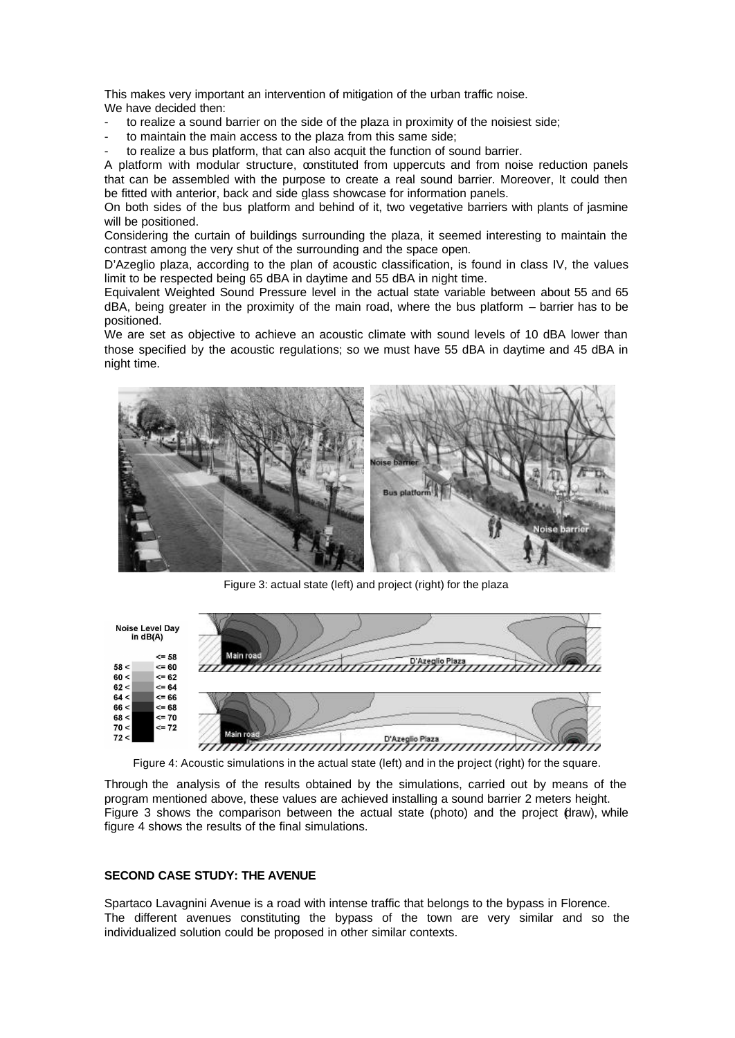This makes very important an intervention of mitigation of the urban traffic noise. We have decided then:

- to realize a sound barrier on the side of the plaza in proximity of the noisiest side;
- to maintain the main access to the plaza from this same side;
- to realize a bus platform, that can also acquit the function of sound barrier.

A platform with modular structure, constituted from uppercuts and from noise reduction panels that can be assembled with the purpose to create a real sound barrier. Moreover, It could then be fitted with anterior, back and side glass showcase for information panels.

On both sides of the bus platform and behind of it, two vegetative barriers with plants of jasmine will be positioned.

Considering the curtain of buildings surrounding the plaza, it seemed interesting to maintain the contrast among the very shut of the surrounding and the space open.

D'Azeglio plaza, according to the plan of acoustic classification, is found in class IV, the values limit to be respected being 65 dBA in daytime and 55 dBA in night time.

Equivalent Weighted Sound Pressure level in the actual state variable between about 55 and 65 dBA, being greater in the proximity of the main road, where the bus platform – barrier has to be positioned.

We are set as objective to achieve an acoustic climate with sound levels of 10 dBA lower than those specified by the acoustic regulations; so we must have 55 dBA in daytime and 45 dBA in night time.



Figure 3: actual state (left) and project (right) for the plaza



Figure 4: Acoustic simulations in the actual state (left) and in the project (right) for the square.

Through the analysis of the results obtained by the simulations, carried out by means of the program mentioned above, these values are achieved installing a sound barrier 2 meters height. Figure 3 shows the comparison between the actual state (photo) and the project (draw), while figure 4 shows the results of the final simulations.

#### **SECOND CASE STUDY: THE AVENUE**

Spartaco Lavagnini Avenue is a road with intense traffic that belongs to the bypass in Florence. The different avenues constituting the bypass of the town are very similar and so the individualized solution could be proposed in other similar contexts.